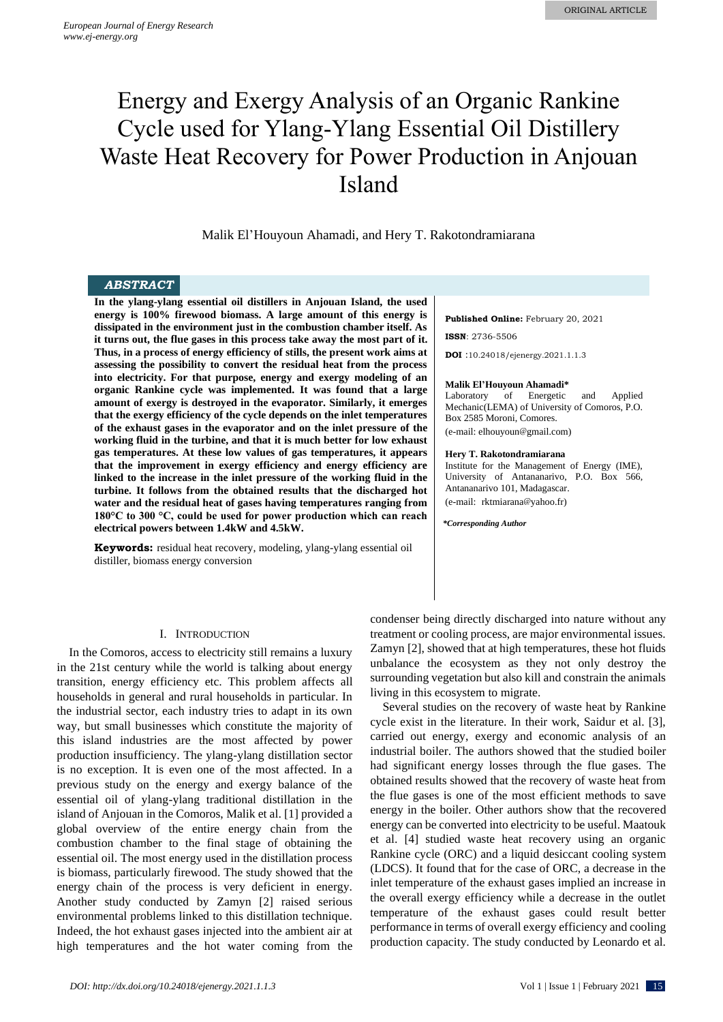# Energy and Exergy Analysis of an Organic Rankine Cycle used for Ylang-Ylang Essential Oil Distillery Waste Heat Recovery for Power Production in Anjouan Island

Malik El'Houyoun Ahamadi, and Hery T. Rakotondramiarana

# *ABSTRACT*

**In the ylang-ylang essential oil distillers in Anjouan Island, the used energy is 100% firewood biomass. A large amount of this energy is dissipated in the environment just in the combustion chamber itself. As it turns out, the flue gases in this process take away the most part of it. Thus, in a process of energy efficiency of stills, the present work aims at assessing the possibility to convert the residual heat from the process into electricity. For that purpose, energy and exergy modeling of an organic Rankine cycle was implemented. It was found that a large amount of exergy is destroyed in the evaporator. Similarly, it emerges that the exergy efficiency of the cycle depends on the inlet temperatures of the exhaust gases in the evaporator and on the inlet pressure of the working fluid in the turbine, and that it is much better for low exhaust gas temperatures. At these low values of gas temperatures, it appears that the improvement in exergy efficiency and energy efficiency are linked to the increase in the inlet pressure of the working fluid in the turbine. It follows from the obtained results that the discharged hot water and the residual heat of gases having temperatures ranging from 180°C to 300 °C, could be used for power production which can reach electrical powers between 1.4kW and 4.5kW.**

**Keywords:** residual heat recovery, modeling, ylang-ylang essential oil distiller, biomass energy conversion

## I. INTRODUCTION

In the Comoros, access to electricity still remains a luxury in the 21st century while the world is talking about energy transition, energy efficiency etc. This problem affects all households in general and rural households in particular. In the industrial sector, each industry tries to adapt in its own way, but small businesses which constitute the majority of this island industries are the most affected by power production insufficiency. The ylang-ylang distillation sector is no exception. It is even one of the most affected. In a previous study on the energy and exergy balance of the essential oil of ylang-ylang traditional distillation in the island of Anjouan in the Comoros, Malik et al. [1] provided a global overview of the entire energy chain from the combustion chamber to the final stage of obtaining the essential oil. The most energy used in the distillation process is biomass, particularly firewood. The study showed that the energy chain of the process is very deficient in energy. Another study conducted by Zamyn [2] raised serious environmental problems linked to this distillation technique. Indeed, the hot exhaust gases injected into the ambient air at high temperatures and the hot water coming from the **Published Online:** February 20, 2021

**ISSN**: 2736-5506

**DOI** :10.24018/ejenergy.2021.1.1.3

#### **Malik El'Houyoun Ahamadi\***

Laboratory of Energetic and Applied Mechanic(LEMA) of University of Comoros, P.O. Box 2585 Moroni, Comores.

(e-mail: elhouyoun@gmail.com)

## **Hery T. Rakotondramiarana**

Institute for the Management of Energy (IME), University of Antananarivo, P.O. Box 566, Antananarivo 101, Madagascar. (e-mail: rktmiarana@yahoo.fr)

*\*Corresponding Author*

condenser being directly discharged into nature without any treatment or cooling process, are major environmental issues. Zamyn [2], showed that at high temperatures, these hot fluids unbalance the ecosystem as they not only destroy the surrounding vegetation but also kill and constrain the animals living in this ecosystem to migrate.

Several studies on the recovery of waste heat by Rankine cycle exist in the literature. In their work, Saidur et al. [3], carried out energy, exergy and economic analysis of an industrial boiler. The authors showed that the studied boiler had significant energy losses through the flue gases. The obtained results showed that the recovery of waste heat from the flue gases is one of the most efficient methods to save energy in the boiler. Other authors show that the recovered energy can be converted into electricity to be useful. Maatouk et al. [4] studied waste heat recovery using an organic Rankine cycle (ORC) and a liquid desiccant cooling system (LDCS). It found that for the case of ORC, a decrease in the inlet temperature of the exhaust gases implied an increase in the overall exergy efficiency while a decrease in the outlet temperature of the exhaust gases could result better performance in terms of overall exergy efficiency and cooling production capacity. The study conducted by Leonardo et al.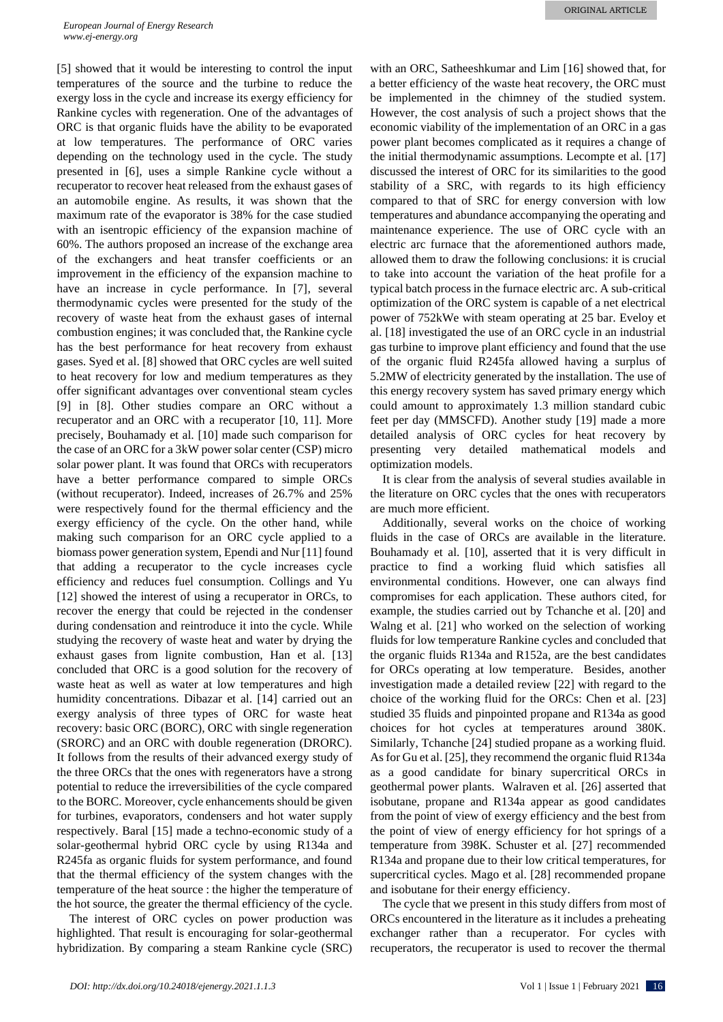[5] showed that it would be interesting to control the input temperatures of the source and the turbine to reduce the exergy loss in the cycle and increase its exergy efficiency for Rankine cycles with regeneration. One of the advantages of ORC is that organic fluids have the ability to be evaporated at low temperatures. The performance of ORC varies depending on the technology used in the cycle. The study presented in [6], uses a simple Rankine cycle without a recuperator to recover heat released from the exhaust gases of an automobile engine. As results, it was shown that the maximum rate of the evaporator is 38% for the case studied with an isentropic efficiency of the expansion machine of 60%. The authors proposed an increase of the exchange area of the exchangers and heat transfer coefficients or an improvement in the efficiency of the expansion machine to have an increase in cycle performance. In [7], several thermodynamic cycles were presented for the study of the recovery of waste heat from the exhaust gases of internal combustion engines; it was concluded that, the Rankine cycle has the best performance for heat recovery from exhaust gases. Syed et al. [8] showed that ORC cycles are well suited to heat recovery for low and medium temperatures as they offer significant advantages over conventional steam cycles [9] in [8]. Other studies compare an ORC without a recuperator and an ORC with a recuperator [10, 11]. More precisely, Bouhamady et al. [10] made such comparison for the case of an ORC for a 3kW power solar center (CSP) micro solar power plant. It was found that ORCs with recuperators have a better performance compared to simple ORCs (without recuperator). Indeed, increases of 26.7% and 25% were respectively found for the thermal efficiency and the exergy efficiency of the cycle. On the other hand, while making such comparison for an ORC cycle applied to a biomass power generation system, Ependi and Nur [11] found that adding a recuperator to the cycle increases cycle efficiency and reduces fuel consumption. Collings and Yu [12] showed the interest of using a recuperator in ORCs, to recover the energy that could be rejected in the condenser during condensation and reintroduce it into the cycle. While studying the recovery of waste heat and water by drying the exhaust gases from lignite combustion, Han et al. [13] concluded that ORC is a good solution for the recovery of waste heat as well as water at low temperatures and high humidity concentrations. Dibazar et al. [14] carried out an exergy analysis of three types of ORC for waste heat recovery: basic ORC (BORC), ORC with single regeneration (SRORC) and an ORC with double regeneration (DRORC). It follows from the results of their advanced exergy study of the three ORCs that the ones with regenerators have a strong potential to reduce the irreversibilities of the cycle compared to the BORC. Moreover, cycle enhancements should be given for turbines, evaporators, condensers and hot water supply respectively. Baral [15] made a techno-economic study of a solar-geothermal hybrid ORC cycle by using R134a and R245fa as organic fluids for system performance, and found that the thermal efficiency of the system changes with the temperature of the heat source : the higher the temperature of the hot source, the greater the thermal efficiency of the cycle.

The interest of ORC cycles on power production was highlighted. That result is encouraging for solar-geothermal hybridization. By comparing a steam Rankine cycle (SRC)

with an ORC, Satheeshkumar and Lim [16] showed that, for a better efficiency of the waste heat recovery, the ORC must be implemented in the chimney of the studied system. However, the cost analysis of such a project shows that the economic viability of the implementation of an ORC in a gas power plant becomes complicated as it requires a change of the initial thermodynamic assumptions. Lecompte et al. [17] discussed the interest of ORC for its similarities to the good stability of a SRC, with regards to its high efficiency compared to that of SRC for energy conversion with low temperatures and abundance accompanying the operating and maintenance experience. The use of ORC cycle with an electric arc furnace that the aforementioned authors made, allowed them to draw the following conclusions: it is crucial to take into account the variation of the heat profile for a typical batch process in the furnace electric arc. A sub-critical optimization of the ORC system is capable of a net electrical power of 752kWe with steam operating at 25 bar. Eveloy et al. [18] investigated the use of an ORC cycle in an industrial gas turbine to improve plant efficiency and found that the use of the organic fluid R245fa allowed having a surplus of 5.2MW of electricity generated by the installation. The use of this energy recovery system has saved primary energy which could amount to approximately 1.3 million standard cubic feet per day (MMSCFD). Another study [19] made a more detailed analysis of ORC cycles for heat recovery by presenting very detailed mathematical models and optimization models.

It is clear from the analysis of several studies available in the literature on ORC cycles that the ones with recuperators are much more efficient.

Additionally, several works on the choice of working fluids in the case of ORCs are available in the literature. Bouhamady et al. [10], asserted that it is very difficult in practice to find a working fluid which satisfies all environmental conditions. However, one can always find compromises for each application. These authors cited, for example, the studies carried out by Tchanche et al. [20] and Walng et al. [21] who worked on the selection of working fluids for low temperature Rankine cycles and concluded that the organic fluids R134a and R152a, are the best candidates for ORCs operating at low temperature. Besides, another investigation made a detailed review [22] with regard to the choice of the working fluid for the ORCs: Chen et al. [23] studied 35 fluids and pinpointed propane and R134a as good choices for hot cycles at temperatures around 380K. Similarly, Tchanche [24] studied propane as a working fluid. As for Gu et al. [25], they recommend the organic fluid R134a as a good candidate for binary supercritical ORCs in geothermal power plants. Walraven et al. [26] asserted that isobutane, propane and R134a appear as good candidates from the point of view of exergy efficiency and the best from the point of view of energy efficiency for hot springs of a temperature from 398K. Schuster et al. [27] recommended R134a and propane due to their low critical temperatures, for supercritical cycles. Mago et al. [28] recommended propane and isobutane for their energy efficiency.

The cycle that we present in this study differs from most of ORCs encountered in the literature as it includes a preheating exchanger rather than a recuperator. For cycles with recuperators, the recuperator is used to recover the thermal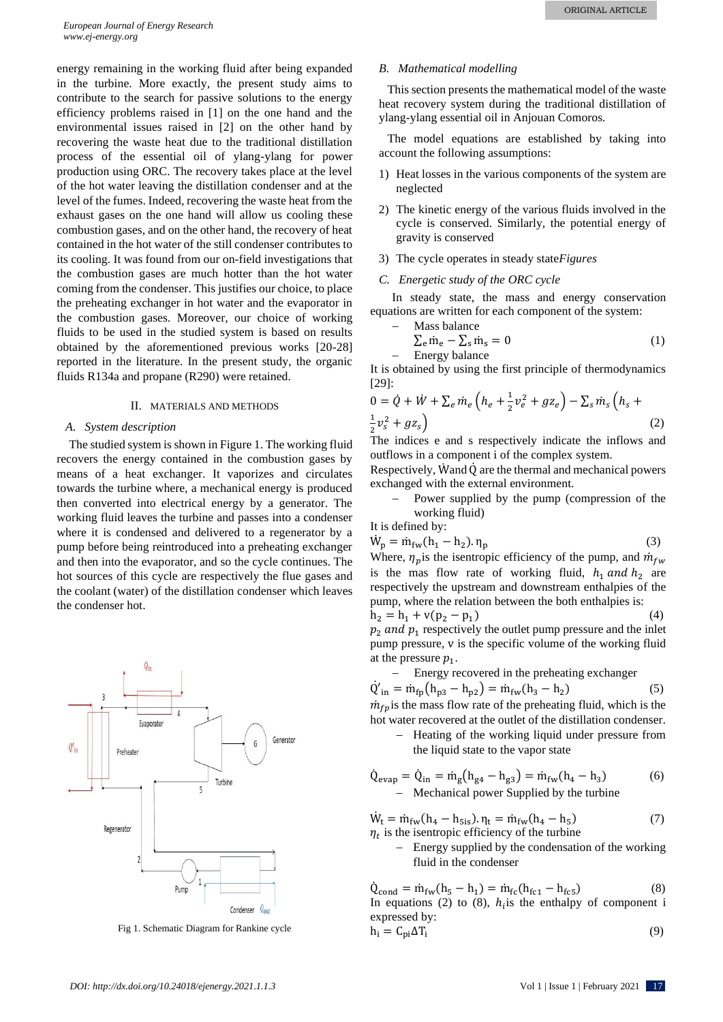energy remaining in the working fluid after being expanded in the turbine. More exactly, the present study aims to contribute to the search for passive solutions to the energy efficiency problems raised in [1] on the one hand and the environmental issues raised in [2] on the other hand by recovering the waste heat due to the traditional distillation process of the essential oil of ylang-ylang for power production using ORC. The recovery takes place at the level of the hot water leaving the distillation condenser and at the level of the fumes. Indeed, recovering the waste heat from the exhaust gases on the one hand will allow us cooling these combustion gases, and on the other hand, the recovery of heat contained in the hot water of the still condenser contributes to its cooling. It was found from our on-field investigations that the combustion gases are much hotter than the hot water coming from the condenser. This justifies our choice, to place the preheating exchanger in hot water and the evaporator in the combustion gases. Moreover, our choice of working fluids to be used in the studied system is based on results obtained by the aforementioned previous works [20-28] reported in the literature. In the present study, the organic fluids R134a and propane (R290) were retained.

## II. MATERIALS AND METHODS

### *A. System description*

The studied system is shown in Figure 1. The working fluid recovers the energy contained in the combustion gases by means of a heat exchanger. It vaporizes and circulates towards the turbine where, a mechanical energy is produced then converted into electrical energy by a generator. The working fluid leaves the turbine and passes into a condenser where it is condensed and delivered to a regenerator by a pump before being reintroduced into a preheating exchanger and then into the evaporator, and so the cycle continues. The hot sources of this cycle are respectively the flue gases and the coolant (water) of the distillation condenser which leaves the condenser hot.



Fig 1. Schematic Diagram for Rankine cycle

### *B. Mathematical modelling*

This section presents the mathematical model of the waste heat recovery system during the traditional distillation of ylang-ylang essential oil in Anjouan Comoros.

The model equations are established by taking into account the following assumptions:

- 1) Heat losses in the various components of the system are neglected
- 2) The kinetic energy of the various fluids involved in the cycle is conserved. Similarly, the potential energy of gravity is conserved
- 3) The cycle operates in steady state*Figures*
- *C. Energetic study of the ORC cycle*

In steady state, the mass and energy conservation equations are written for each component of the system:

− Mass balance

$$
\sum_{e} \dot{m}_e - \sum_{s} \dot{m}_s = 0
$$
 (1)  
Energy balance

It is obtained by using the first principle of thermodynamics [29]:

$$
0 = \dot{Q} + \dot{W} + \sum_{e} \dot{m}_{e} \left( h_{e} + \frac{1}{2} v_{e}^{2} + g z_{e} \right) - \sum_{s} \dot{m}_{s} \left( h_{s} + \frac{1}{2} v_{s}^{2} + g z_{s} \right)
$$
(2)

The indices e and s respectively indicate the inflows and outflows in a component i of the complex system.

Respectively, Wand  $\dot{Q}$  are the thermal and mechanical powers exchanged with the external environment.

Power supplied by the pump (compression of the working fluid)

It is defined by:

$$
\dot{W}_p = \dot{m}_{fw}(h_1 - h_2). \eta_p \tag{3}
$$

Where,  $\eta_p$  is the isentropic efficiency of the pump, and  $\dot{m}_{fw}$ is the mas flow rate of working fluid,  $h_1$  and  $h_2$  are respectively the upstream and downstream enthalpies of the pump, where the relation between the both enthalpies is:

 $h_2 = h_1 + v(p_2 - p_1)$  (4)  $p_2$  and  $p_1$  respectively the outlet pump pressure and the inlet pump pressure, v is the specific volume of the working fluid at the pressure  $p_1$ .

- Energy recovered in the preheating exchanger  
\n
$$
\dot{Q}'_{in} = \dot{m}_{fp} (h_{p3} - h_{p2}) = \dot{m}_{fw} (h_3 - h_2)
$$
\n
$$
\dot{m}_{fn}
$$
\nis the mass flow rate of the preheating fluid, which is the

 $\dot{m}_{fp}$  is the mass flow rate of the preheating fluid, which is the hot water recovered at the outlet of the distillation condenser.

Heating of the working liquid under pressure from the liquid state to the vapor state

$$
\dot{Q}_{evap} = \dot{Q}_{in} = \dot{m}_g (h_{g4} - h_{g3}) = \dot{m}_{fw} (h_4 - h_3)
$$
\n
$$
- \text{ Mechanical power supplied by the turbine}
$$
\n(6)

 $\dot{W}_t = \dot{m}_{fw} (h_4 - h_{5is})$ .  $\eta_t = \dot{m}_{fw} (h_4 - h_{5is})$ ) (7)  $\eta_t$  is the isentropic efficiency of the turbine

− Energy supplied by the condensation of the working fluid in the condenser

 $\dot{Q}_{\text{cond}} = \dot{m}_{\text{fw}}(h_{5} - h_{1}) = \dot{m}_{\text{fc}}(h_{\text{fc1}} - h_{\text{fc5}})$  (8) In equations (2) to (8),  $h_i$  is the enthalpy of component i expressed by:

$$
h_i = C_{pi} \Delta T_i \tag{9}
$$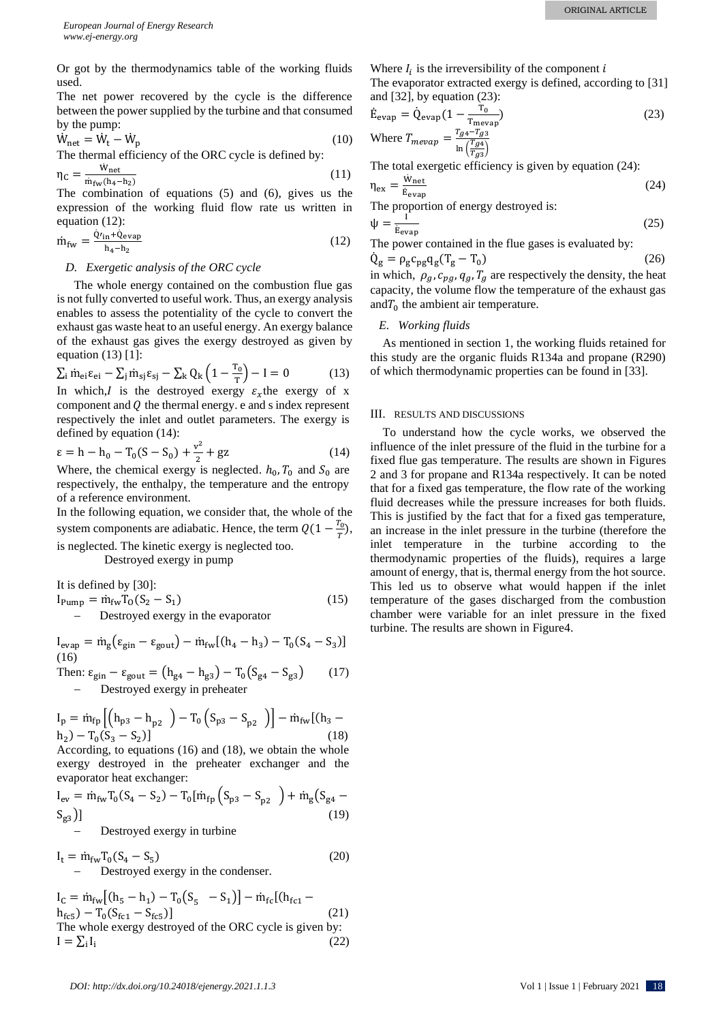Or got by the thermodynamics table of the working fluids used.

The net power recovered by the cycle is the difference between the power supplied by the turbine and that consumed by the pump:

$$
\dot{W}_{net} = \dot{W}_t - \dot{W}_p \tag{10}
$$

The thermal efficiency of the ORC cycle is defined by:

$$
\eta_{\rm C} = \frac{\dot{w}_{\rm net}}{\dot{m}_{\rm fw}(h_4 - h_2)}\tag{11}
$$

The combination of equations (5) and (6), gives us the expression of the working fluid flow rate us written in equation (12):

$$
\dot{m}_{fw} = \frac{\dot{Q'}_{in} + \dot{Q}_{evap}}{h_4 - h_2} \tag{12}
$$

### *D. Exergetic analysis of the ORC cycle*

The whole energy contained on the combustion flue gas is not fully converted to useful work. Thus, an exergy analysis enables to assess the potentiality of the cycle to convert the exhaust gas waste heat to an useful energy. An exergy balance of the exhaust gas gives the exergy destroyed as given by equation  $(13)$  [1]:

$$
\sum_{\mathbf{i}} \dot{\mathbf{m}}_{\mathbf{e}\mathbf{i}} \epsilon_{\mathbf{e}\mathbf{i}} - \sum_{\mathbf{j}} \dot{\mathbf{m}}_{\mathbf{s}\mathbf{j}} \epsilon_{\mathbf{s}\mathbf{j}} - \sum_{\mathbf{k}} Q_{\mathbf{k}} \left( 1 - \frac{\mathbf{r}_0}{\mathbf{r}} \right) - \mathbf{I} = 0 \tag{13}
$$

In which, I is the destroyed exergy  $\varepsilon_x$ the exergy of x component and  $Q$  the thermal energy. e and s index represent respectively the inlet and outlet parameters. The exergy is defined by equation (14):

$$
\varepsilon = h - h_0 - T_0(S - S_0) + \frac{v^2}{2} + gz \tag{14}
$$

Where, the chemical exergy is neglected.  $h_0$ ,  $T_0$  and  $S_0$  are respectively, the enthalpy, the temperature and the entropy of a reference environment.

In the following equation, we consider that, the whole of the system components are adiabatic. Hence, the term  $Q(1 - \frac{T_0}{T_0})$  $\frac{r_0}{T}$ ), is neglected. The kinetic exergy is neglected too.

Destroyed exergy in pump

It is defined by [30]:

$$
I_{\text{Pump}} = \dot{m}_{\text{fw}} T_0 (S_2 - S_1)
$$
  
- Destroyed exergy in the evaporator (15)

 $I_{evap} = \dot{m}_g (\varepsilon_{gin} - \varepsilon_{gout}) - \dot{m}_{fw} [(h_4 - h_3) - T_0 (S_4 - S_3)]$ (16)

Then: 
$$
\varepsilon_{\text{gin}} - \varepsilon_{\text{gout}} = (h_{g4} - h_{g3}) - T_0(S_{g4} - S_{g3})
$$
 (17)  
- Destruct every in replacement

− Destroyed exergy in preheater

$$
I_{p} = \dot{m}_{fp} \left[ \left( h_{p3} - h_{p2} \right) - T_{0} \left( S_{p3} - S_{p2} \right) \right] - \dot{m}_{fw} \left[ \left( h_{3} - h_{2} \right) - T_{0} \left( S_{3} - S_{2} \right) \right] \tag{18}
$$

According, to equations (16) and (18), we obtain the whole exergy destroyed in the preheater exchanger and the evaporator heat exchanger:

$$
I_{ev} = \dot{m}_{fw} T_0 (S_4 - S_2) - T_0 [\dot{m}_{fp} (S_{p3} - S_{p2}) + \dot{m}_g (S_{g4} - S_{g3})]
$$
  
- Destroyed exergy in turbine (19)

 $I_t = \dot{m}_{fw} T_0 (S_4 - S_5)$  (20) Destroyed exergy in the condenser.

 $I_c = \dot{m}_{fw} [(h_5 - h_1) - T_0 (S_5 - S_1)] - \dot{m}_{fc} [(h_{fc1}$  $h_{fc5}$ ) – T<sub>0</sub>(S<sub>fc1</sub> – S<sub>fc5</sub>)] (21) The whole exergy destroyed of the ORC cycle is given by:  $I = \sum_i I_i$ (22) Where  $I_i$  is the irreversibility of the component  $i$ 

The evaporator extracted exergy is defined, according to 
$$
[31]
$$
 and  $[32]$ , by equation (23):

$$
\dot{E}_{evap} = \dot{Q}_{evap} \left( 1 - \frac{T_0}{T_{mevap}} \right)
$$
\nWhere  $T_{mevap} = \frac{T_{g4} - T_{g3}}{\ln \left( \frac{T_{g4}}{T_{g3}} \right)}$ 

\n(23)

The total exergetic efficiency is given by equation (24):

$$
\eta_{\text{ex}} = \frac{\dot{w}_{\text{net}}}{\dot{E}_{\text{evap}}}
$$
 (24)  
The proportion of energy destroyed is:

$$
\psi = \frac{1}{\dot{E}_{evap}}\tag{25}
$$

The power contained in the flue gases is evaluated by:

 $\dot{Q}_g = \rho_g c_{pg} q_g (T_g - T_0)$  (26) in which,  $\rho_g$ ,  $c_{pg}$ ,  $q_g$ ,  $T_g$  are respectively the density, the heat capacity, the volume flow the temperature of the exhaust gas and $T_0$  the ambient air temperature.

## *E. Working fluids*

As mentioned in section 1, the working fluids retained for this study are the organic fluids R134a and propane (R290) of which thermodynamic properties can be found in [33].

## III. RESULTS AND DISCUSSIONS

To understand how the cycle works, we observed the influence of the inlet pressure of the fluid in the turbine for a fixed flue gas temperature. The results are shown in Figures 2 and 3 for propane and R134a respectively. It can be noted that for a fixed gas temperature, the flow rate of the working fluid decreases while the pressure increases for both fluids. This is justified by the fact that for a fixed gas temperature, an increase in the inlet pressure in the turbine (therefore the inlet temperature in the turbine according to the thermodynamic properties of the fluids), requires a large amount of energy, that is, thermal energy from the hot source. This led us to observe what would happen if the inlet temperature of the gases discharged from the combustion chamber were variable for an inlet pressure in the fixed turbine. The results are shown in Figure4.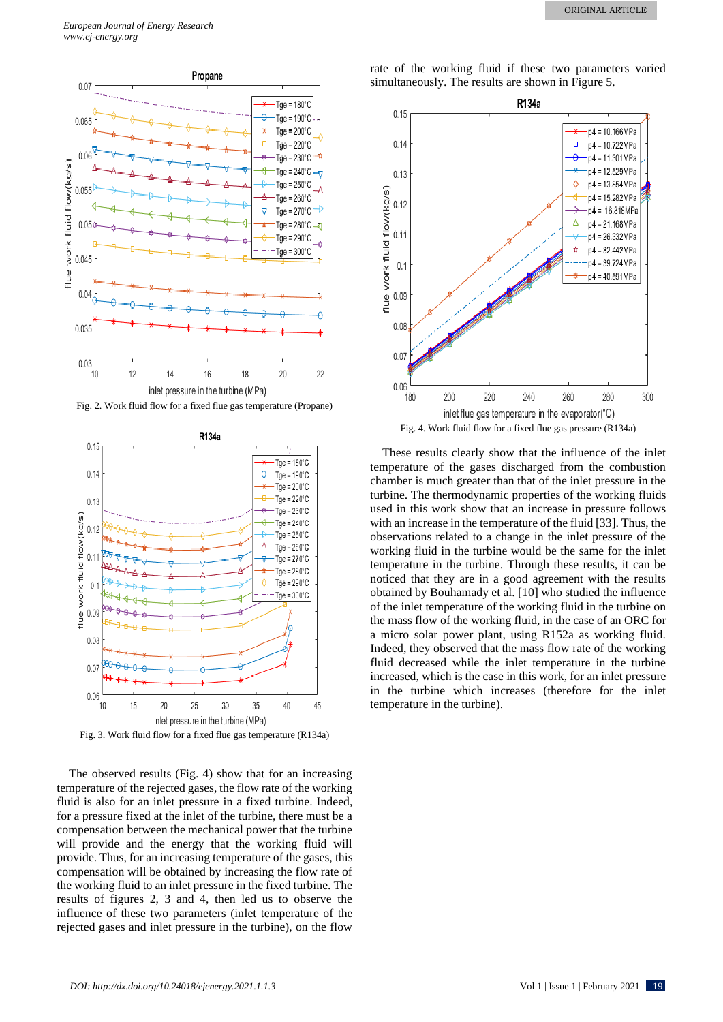

Fig. 2. Work fluid flow for a fixed flue gas temperature (Propane)



Fig. 3. Work fluid flow for a fixed flue gas temperature (R134a)

The observed results (Fig. 4) show that for an increasing temperature of the rejected gases, the flow rate of the working fluid is also for an inlet pressure in a fixed turbine. Indeed, for a pressure fixed at the inlet of the turbine, there must be a compensation between the mechanical power that the turbine will provide and the energy that the working fluid will provide. Thus, for an increasing temperature of the gases, this compensation will be obtained by increasing the flow rate of the working fluid to an inlet pressure in the fixed turbine. The results of figures 2, 3 and 4, then led us to observe the influence of these two parameters (inlet temperature of the rejected gases and inlet pressure in the turbine), on the flow

rate of the working fluid if these two parameters varied simultaneously. The results are shown in Figure 5.



These results clearly show that the influence of the inlet temperature of the gases discharged from the combustion chamber is much greater than that of the inlet pressure in the turbine. The thermodynamic properties of the working fluids used in this work show that an increase in pressure follows with an increase in the temperature of the fluid [33]. Thus, the observations related to a change in the inlet pressure of the working fluid in the turbine would be the same for the inlet temperature in the turbine. Through these results, it can be noticed that they are in a good agreement with the results obtained by Bouhamady et al. [10] who studied the influence of the inlet temperature of the working fluid in the turbine on the mass flow of the working fluid, in the case of an ORC for a micro solar power plant, using R152a as working fluid. Indeed, they observed that the mass flow rate of the working fluid decreased while the inlet temperature in the turbine increased, which is the case in this work, for an inlet pressure in the turbine which increases (therefore for the inlet temperature in the turbine).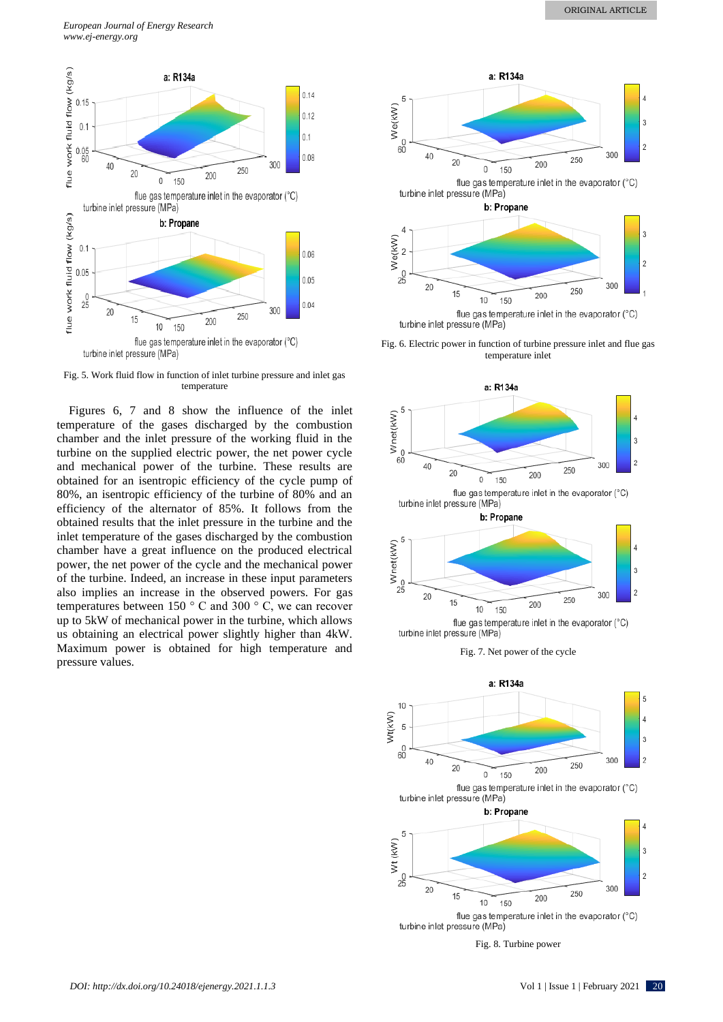

Fig. 5. Work fluid flow in function of inlet turbine pressure and inlet gas temperature

Figures 6, 7 and 8 show the influence of the inlet temperature of the gases discharged by the combustion chamber and the inlet pressure of the working fluid in the turbine on the supplied electric power, the net power cycle and mechanical power of the turbine. These results are obtained for an isentropic efficiency of the cycle pump of 80%, an isentropic efficiency of the turbine of 80% and an efficiency of the alternator of 85%. It follows from the obtained results that the inlet pressure in the turbine and the inlet temperature of the gases discharged by the combustion chamber have a great influence on the produced electrical power, the net power of the cycle and the mechanical power of the turbine. Indeed, an increase in these input parameters also implies an increase in the observed powers. For gas temperatures between 150 ° C and 300 ° C, we can recover up to 5kW of mechanical power in the turbine, which allows us obtaining an electrical power slightly higher than 4kW. Maximum power is obtained for high temperature and pressure values.



Fig. 6. Electric power in function of turbine pressure inlet and flue gas temperature inlet





Fig. 8. Turbine power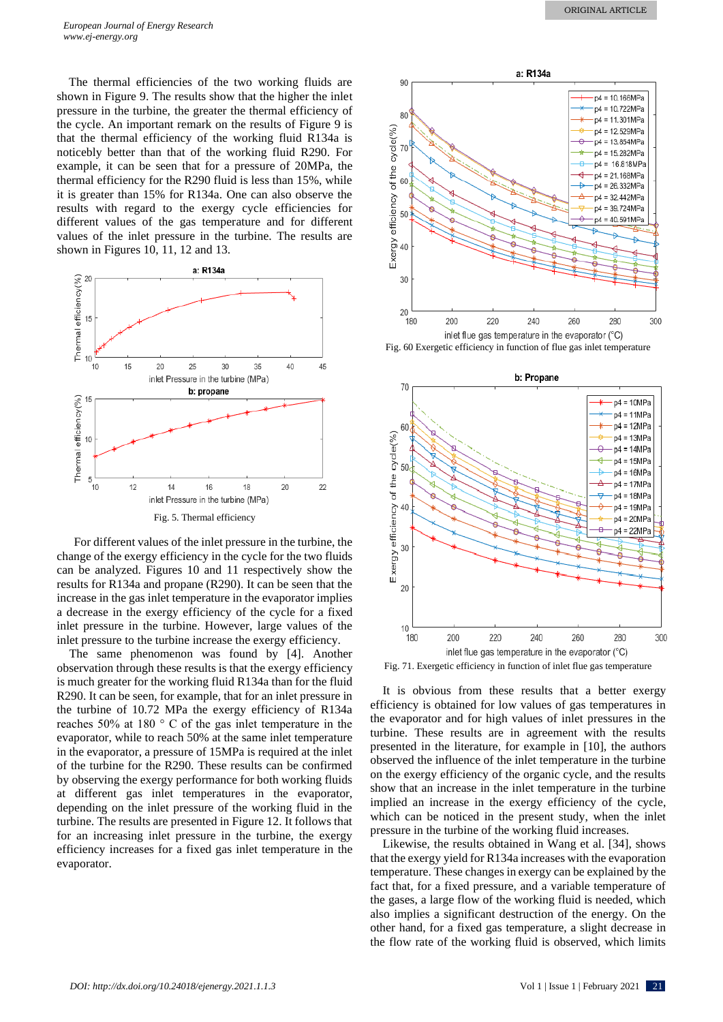The thermal efficiencies of the two working fluids are shown in Figure 9. The results show that the higher the inlet pressure in the turbine, the greater the thermal efficiency of the cycle. An important remark on the results of Figure 9 is that the thermal efficiency of the working fluid R134a is noticebly better than that of the working fluid R290. For example, it can be seen that for a pressure of 20MPa, the thermal efficiency for the R290 fluid is less than 15%, while it is greater than 15% for R134a. One can also observe the results with regard to the exergy cycle efficiencies for different values of the gas temperature and for different values of the inlet pressure in the turbine. The results are shown in Figures 10, 11, 12 and 13.



For different values of the inlet pressure in the turbine, the change of the exergy efficiency in the cycle for the two fluids can be analyzed. Figures 10 and 11 respectively show the results for R134a and propane (R290). It can be seen that the increase in the gas inlet temperature in the evaporator implies a decrease in the exergy efficiency of the cycle for a fixed inlet pressure in the turbine. However, large values of the inlet pressure to the turbine increase the exergy efficiency.

The same phenomenon was found by [4]. Another observation through these results is that the exergy efficiency is much greater for the working fluid R134a than for the fluid R290. It can be seen, for example, that for an inlet pressure in the turbine of 10.72 MPa the exergy efficiency of R134a reaches 50% at 180 ° C of the gas inlet temperature in the evaporator, while to reach 50% at the same inlet temperature in the evaporator, a pressure of 15MPa is required at the inlet of the turbine for the R290. These results can be confirmed by observing the exergy performance for both working fluids at different gas inlet temperatures in the evaporator, depending on the inlet pressure of the working fluid in the turbine. The results are presented in Figure 12. It follows that for an increasing inlet pressure in the turbine, the exergy efficiency increases for a fixed gas inlet temperature in the evaporator.



Fig. 60 Exergetic efficiency in function of flue gas inlet temperature



Fig. 71. Exergetic efficiency in function of inlet flue gas temperature

It is obvious from these results that a better exergy efficiency is obtained for low values of gas temperatures in the evaporator and for high values of inlet pressures in the turbine. These results are in agreement with the results presented in the literature, for example in [10], the authors observed the influence of the inlet temperature in the turbine on the exergy efficiency of the organic cycle, and the results show that an increase in the inlet temperature in the turbine implied an increase in the exergy efficiency of the cycle, which can be noticed in the present study, when the inlet pressure in the turbine of the working fluid increases.

Likewise, the results obtained in Wang et al. [34], shows that the exergy yield for R134a increases with the evaporation temperature. These changes in exergy can be explained by the fact that, for a fixed pressure, and a variable temperature of the gases, a large flow of the working fluid is needed, which also implies a significant destruction of the energy. On the other hand, for a fixed gas temperature, a slight decrease in the flow rate of the working fluid is observed, which limits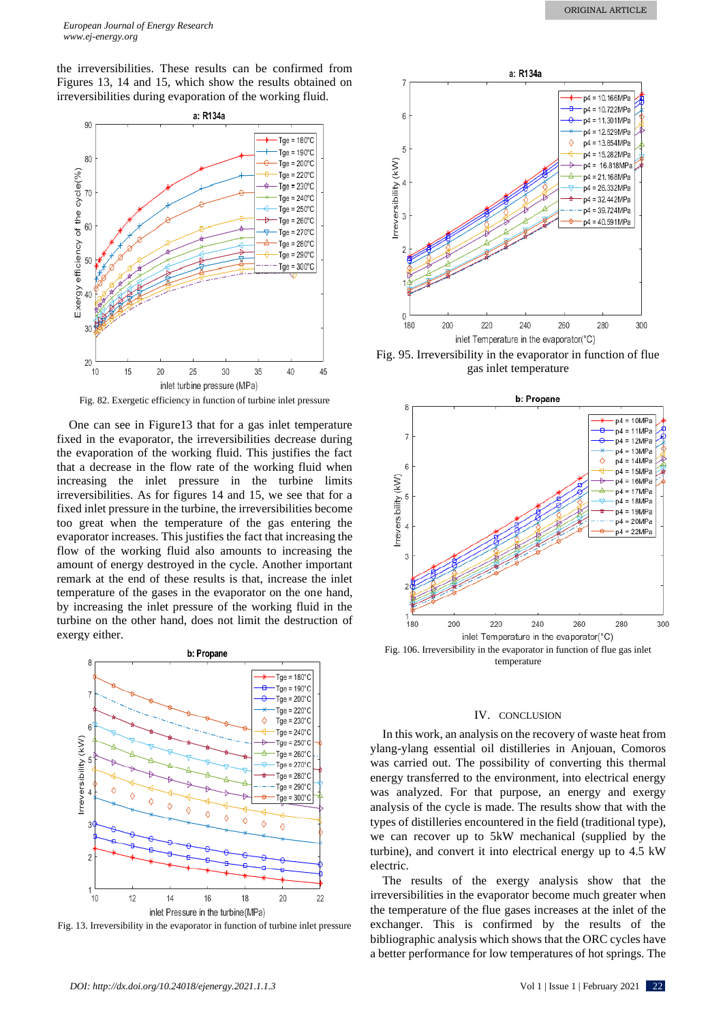the irreversibilities. These results can be confirmed from Figures 13, 14 and 15, which show the results obtained on irreversibilities during evaporation of the working fluid.



Fig. 82. Exergetic efficiency in function of turbine inlet pressure

One can see in Figure13 that for a gas inlet temperature fixed in the evaporator, the irreversibilities decrease during the evaporation of the working fluid. This justifies the fact that a decrease in the flow rate of the working fluid when increasing the inlet pressure in the turbine limits irreversibilities. As for figures 14 and 15, we see that for a fixed inlet pressure in the turbine, the irreversibilities become too great when the temperature of the gas entering the evaporator increases. This justifies the fact that increasing the flow of the working fluid also amounts to increasing the amount of energy destroyed in the cycle. Another important remark at the end of these results is that, increase the inlet temperature of the gases in the evaporator on the one hand, by increasing the inlet pressure of the working fluid in the turbine on the other hand, does not limit the destruction of exergy either.



Fig. 13. Irreversibility in the evaporator in function of turbine inlet pressure



Fig. 95. Irreversibility in the evaporator in function of flue gas inlet temperature



temperature

## IV. CONCLUSION

In this work, an analysis on the recovery of waste heat from ylang-ylang essential oil distilleries in Anjouan, Comoros was carried out. The possibility of converting this thermal energy transferred to the environment, into electrical energy was analyzed. For that purpose, an energy and exergy analysis of the cycle is made. The results show that with the types of distilleries encountered in the field (traditional type), we can recover up to 5kW mechanical (supplied by the turbine), and convert it into electrical energy up to 4.5 kW electric.

The results of the exergy analysis show that the irreversibilities in the evaporator become much greater when the temperature of the flue gases increases at the inlet of the exchanger. This is confirmed by the results of the bibliographic analysis which shows that the ORC cycles have a better performance for low temperatures of hot springs. The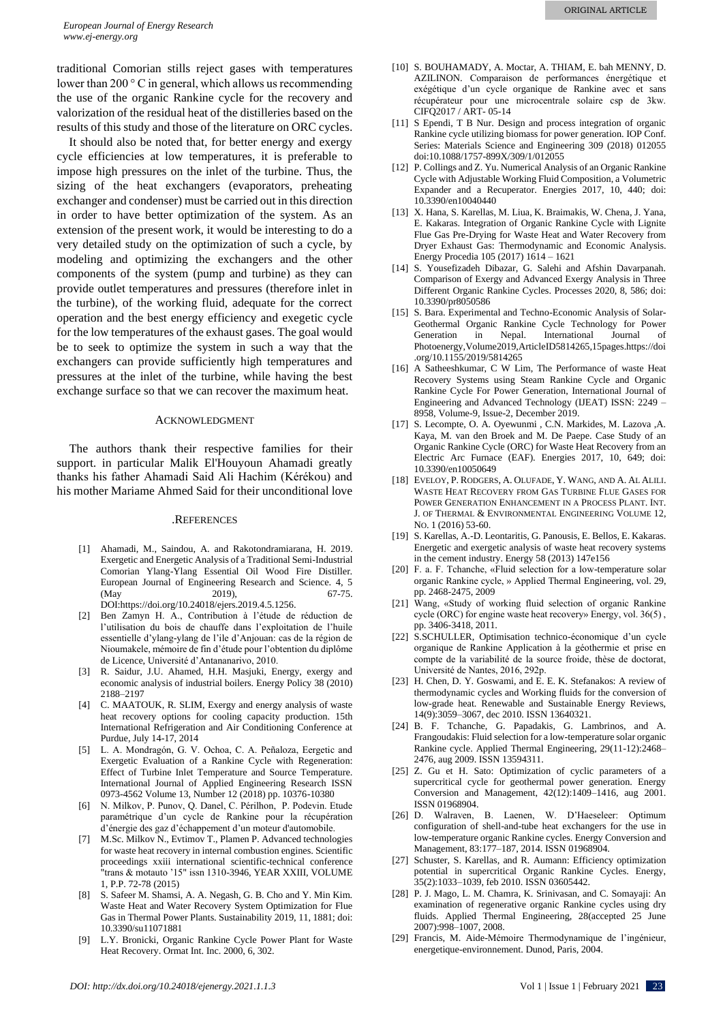traditional Comorian stills reject gases with temperatures lower than 200 ° C in general, which allows us recommending the use of the organic Rankine cycle for the recovery and valorization of the residual heat of the distilleries based on the results of this study and those of the literature on ORC cycles.

It should also be noted that, for better energy and exergy cycle efficiencies at low temperatures, it is preferable to impose high pressures on the inlet of the turbine. Thus, the sizing of the heat exchangers (evaporators, preheating exchanger and condenser) must be carried out in this direction in order to have better optimization of the system. As an extension of the present work, it would be interesting to do a very detailed study on the optimization of such a cycle, by modeling and optimizing the exchangers and the other components of the system (pump and turbine) as they can provide outlet temperatures and pressures (therefore inlet in the turbine), of the working fluid, adequate for the correct operation and the best energy efficiency and exegetic cycle for the low temperatures of the exhaust gases. The goal would be to seek to optimize the system in such a way that the exchangers can provide sufficiently high temperatures and pressures at the inlet of the turbine, while having the best exchange surface so that we can recover the maximum heat.

#### ACKNOWLEDGMENT

The authors thank their respective families for their support. in particular Malik El'Houyoun Ahamadi greatly thanks his father Ahamadi Said Ali Hachim (Kérékou) and his mother Mariame Ahmed Said for their unconditional love

#### .REFERENCES

- [1] Ahamadi, M., Saindou, A. and Rakotondramiarana, H. 2019. Exergetic and Energetic Analysis of a Traditional Semi-Industrial Comorian Ylang-Ylang Essential Oil Wood Fire Distiller. European Journal of Engineering Research and Science. 4, 5 (May 2019), 67-75. DOI:https://doi.org/10.24018/ejers.2019.4.5.1256.
- [2] Ben Zamyn H. A., Contribution à l'étude de réduction de l'utilisation du bois de chauffe dans l'exploitation de l'huile essentielle d'ylang-ylang de l'ile d'Anjouan: cas de la région de Nioumakele, mémoire de fin d'étude pour l'obtention du diplôme de Licence, Université d'Antananarivo, 2010.
- [3] R. Saidur, J.U. Ahamed, H.H. Masjuki, Energy, exergy and economic analysis of industrial boilers. Energy Policy 38 (2010) 2188–2197
- [4] C. MAATOUK, R. SLIM, Exergy and energy analysis of waste heat recovery options for cooling capacity production. 15th International Refrigeration and Air Conditioning Conference at Purdue, July 14-17, 2014
- [5] L. A. Mondragón, G. V. Ochoa, C. A. Peñaloza, Eergetic and Exergetic Evaluation of a Rankine Cycle with Regeneration: Effect of Turbine Inlet Temperature and Source Temperature. International Journal of Applied Engineering Research ISSN 0973-4562 Volume 13, Number 12 (2018) pp. 10376-10380
- [6] N. Milkov, P. Punov, Q. Danel, C. Périlhon, P. Podevin. Etude paramétrique d'un cycle de Rankine pour la récupération d'énergie des gaz d'échappement d'un moteur d'automobile.
- [7] M.Sc. Milkov N., Evtimov T., Plamen P. Advanced technologies for waste heat recovery in internal combustion engines. Scientific proceedings xxiii international scientific-technical conference "trans & motauto '15" issn 1310-3946, YEAR XXIII, VOLUME 1, P.P. 72-78 (2015)
- [8] S. Safeer M. Shamsi, A. A. Negash, G. B. Cho and Y. Min Kim. Waste Heat and Water Recovery System Optimization for Flue Gas in Thermal Power Plants. Sustainability 2019, 11, 1881; doi: 10.3390/su11071881
- [9] L.Y. Bronicki, Organic Rankine Cycle Power Plant for Waste Heat Recovery. Ormat Int. Inc. 2000, 6, 302.
- [10] S. BOUHAMADY, A. Moctar, A. THIAM, E. bah MENNY, D. AZILINON. Comparaison de performances énergétique et exégétique d'un cycle organique de Rankine avec et sans récupérateur pour une microcentrale solaire csp de 3kw. CIFQ2017 / ART- 05-14
- [11] S Ependi, T B Nur. Design and process integration of organic Rankine cycle utilizing biomass for power generation. IOP Conf. Series: Materials Science and Engineering 309 (2018) 012055 doi:10.1088/1757-899X/309/1/012055
- [12] P. Collings and Z. Yu. Numerical Analysis of an Organic Rankine Cycle with Adjustable Working Fluid Composition, a Volumetric Expander and a Recuperator. Energies 2017, 10, 440; doi: 10.3390/en10040440
- [13] X. Hana, S. Karellas, M. Liua, K. Braimakis, W. Chena, J. Yana, E. Kakaras. Integration of Organic Rankine Cycle with Lignite Flue Gas Pre-Drying for Waste Heat and Water Recovery from Dryer Exhaust Gas: Thermodynamic and Economic Analysis. Energy Procedia 105 (2017) 1614 – 1621
- [14] S. Yousefizadeh Dibazar, G. Salehi and Afshin Davarpanah. Comparison of Exergy and Advanced Exergy Analysis in Three Different Organic Rankine Cycles. Processes 2020, 8, 586; doi: 10.3390/pr8050586
- [15] S. Bara. Experimental and Techno-Economic Analysis of Solar-Geothermal Organic Rankine Cycle Technology for Power Generation in Nepal. International Journal of Photoenergy,Volume2019,ArticleID5814265,15pages.https://doi .org/10.1155/2019/5814265
- [16] A Satheeshkumar, C W Lim, The Performance of waste Heat Recovery Systems using Steam Rankine Cycle and Organic Rankine Cycle For Power Generation, International Journal of Engineering and Advanced Technology (IJEAT) ISSN: 2249 – 8958, Volume-9, Issue-2, December 2019.
- [17] S. Lecompte, O. A. Oyewunmi , C.N. Markides, M. Lazova ,A. Kaya, M. van den Broek and M. De Paepe. Case Study of an Organic Rankine Cycle (ORC) for Waste Heat Recovery from an Electric Arc Furnace (EAF). Energies 2017, 10, 649; doi: 10.3390/en10050649
- [18] EVELOY, P. RODGERS, A. OLUFADE, Y. WANG, AND A. AL ALILI. WASTE HEAT RECOVERY FROM GAS TURBINE FLUE GASES FOR POWER GENERATION ENHANCEMENT IN A PROCESS PLANT. INT. J. OF THERMAL & ENVIRONMENTAL ENGINEERING VOLUME 12, NO. 1 (2016) 53-60.
- [19] S. Karellas, A.-D. Leontaritis, G. Panousis, E. Bellos, E. Kakaras. Energetic and exergetic analysis of waste heat recovery systems in the cement industry. Energy 58 (2013) 147e156
- [20] F. a. F. Tchanche, «Fluid selection for a low-temperature solar organic Rankine cycle, » Applied Thermal Engineering, vol. 29, pp. 2468-2475, 2009
- [21] Wang, «Study of working fluid selection of organic Rankine cycle (ORC) for engine waste heat recovery» Energy, vol. 36(5) , pp. 3406-3418, 2011.
- [22] S.SCHULLER, Optimisation technico-économique d'un cycle organique de Rankine Application à la géothermie et prise en compte de la variabilité de la source froide, thèse de doctorat, Université de Nantes, 2016, 292p.
- [23] H. Chen, D. Y. Goswami, and E. E. K. Stefanakos: A review of thermodynamic cycles and Working fluids for the conversion of low-grade heat. Renewable and Sustainable Energy Reviews, 14(9):3059–3067, dec 2010. ISSN 13640321.
- [24] B. F. Tchanche, G. Papadakis, G. Lambrinos, and A. Frangoudakis: Fluid selection for a low-temperature solar organic Rankine cycle. Applied Thermal Engineering, 29(11-12):2468– 2476, aug 2009. ISSN 13594311.
- [25] Z. Gu et H. Sato: Optimization of cyclic parameters of a supercritical cycle for geothermal power generation. Energy Conversion and Management, 42(12):1409–1416, aug 2001. ISSN 01968904.
- [26] D. Walraven, B. Laenen, W. D'Haeseleer: Optimum configuration of shell-and-tube heat exchangers for the use in low-temperature organic Rankine cycles. Energy Conversion and Management, 83:177–187, 2014. ISSN 01968904.
- [27] Schuster, S. Karellas, and R. Aumann: Efficiency optimization potential in supercritical Organic Rankine Cycles. Energy, 35(2):1033–1039, feb 2010. ISSN 03605442.
- [28] P. J. Mago, L. M. Chamra, K. Srinivasan, and C. Somayaji: An examination of regenerative organic Rankine cycles using dry fluids. Applied Thermal Engineering, 28(accepted 25 June 2007):998–1007, 2008.
- [29] Francis, M. Aide-Mémoire Thermodynamique de l'ingénieur, energetique-environnement. Dunod, Paris, 2004.